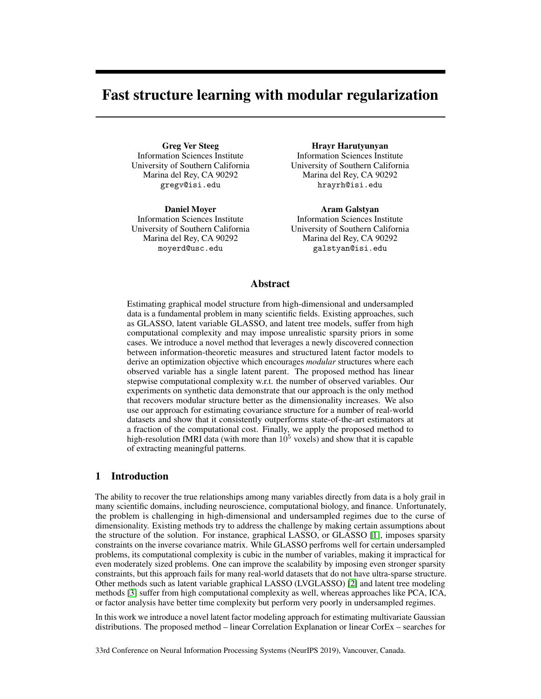# Fast structure learning with modular regularization

Greg Ver Steeg Information Sciences Institute University of Southern California Marina del Rey, CA 90292 gregv@isi.edu

Daniel Moyer Information Sciences Institute University of Southern California Marina del Rey, CA 90292 moyerd@usc.edu

Hrayr Harutyunyan Information Sciences Institute University of Southern California Marina del Rey, CA 90292 hrayrh@isi.edu

Aram Galstyan Information Sciences Institute University of Southern California Marina del Rey, CA 90292 galstyan@isi.edu

## Abstract

Estimating graphical model structure from high-dimensional and undersampled data is a fundamental problem in many scientific fields. Existing approaches, such as GLASSO, latent variable GLASSO, and latent tree models, suffer from high computational complexity and may impose unrealistic sparsity priors in some cases. We introduce a novel method that leverages a newly discovered connection between information-theoretic measures and structured latent factor models to derive an optimization objective which encourages *modular* structures where each observed variable has a single latent parent. The proposed method has linear stepwise computational complexity w.r.t. the number of observed variables. Our experiments on synthetic data demonstrate that our approach is the only method that recovers modular structure better as the dimensionality increases. We also use our approach for estimating covariance structure for a number of real-world datasets and show that it consistently outperforms state-of-the-art estimators at a fraction of the computational cost. Finally, we apply the proposed method to high-resolution fMRI data (with more than  $10<sup>5</sup>$  voxels) and show that it is capable of extracting meaningful patterns.

## 1 Introduction

The ability to recover the true relationships among many variables directly from data is a holy grail in many scientific domains, including neuroscience, computational biology, and finance. Unfortunately, the problem is challenging in high-dimensional and undersampled regimes due to the curse of dimensionality. Existing methods try to address the challenge by making certain assumptions about the structure of the solution. For instance, graphical LASSO, or GLASSO [1], imposes sparsity constraints on the inverse covariance matrix. While GLASSO perfroms well for certain undersampled problems, its computational complexity is cubic in the number of variables, making it impractical for even moderately sized problems. One can improve the scalability by imposing even stronger sparsity constraints, but this approach fails for many real-world datasets that do not have ultra-sparse structure. Other methods such as latent variable graphical LASSO (LVGLASSO) [2] and latent tree modeling methods  $\overline{3}$  suffer from high computational complexity as well, whereas approaches like PCA, ICA, or factor analysis have better time complexity but perform very poorly in undersampled regimes.

In this work we introduce a novel latent factor modeling approach for estimating multivariate Gaussian distributions. The proposed method – linear Correlation Explanation or linear CorEx – searches for

33rd Conference on Neural Information Processing Systems (NeurIPS 2019), Vancouver, Canada.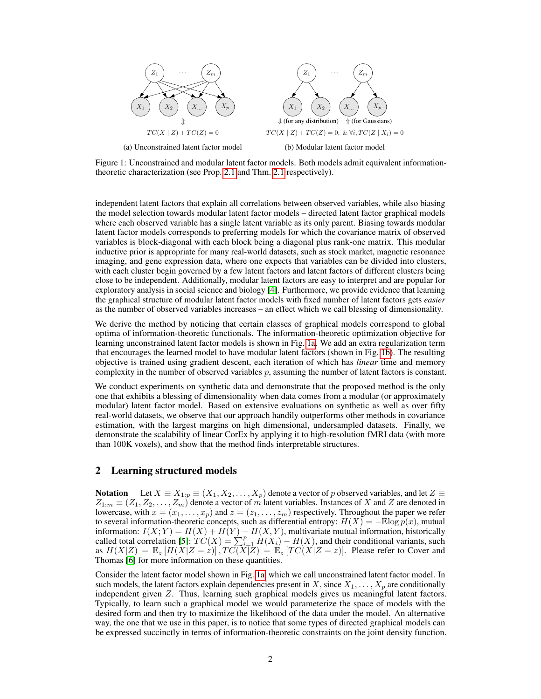

Figure 1: Unconstrained and modular latent factor models. Both models admit equivalent informationtheoretic characterization (see Prop.  $2.1$  and Thm.  $2.1$  respectively).

independent latent factors that explain all correlations between observed variables, while also biasing the model selection towards modular latent factor models – directed latent factor graphical models where each observed variable has a single latent variable as its only parent. Biasing towards modular latent factor models corresponds to preferring models for which the covariance matrix of observed variables is block-diagonal with each block being a diagonal plus rank-one matrix. This modular inductive prior is appropriate for many real-world datasets, such as stock market, magnetic resonance imaging, and gene expression data, where one expects that variables can be divided into clusters, with each cluster begin governed by a few latent factors and latent factors of different clusters being close to be independent. Additionally, modular latent factors are easy to interpret and are popular for exploratory analysis in social science and biology  $[4]$ . Furthermore, we provide evidence that learning the graphical structure of modular latent factor models with fixed number of latent factors gets *easier* as the number of observed variables increases – an effect which we call blessing of dimensionality.

We derive the method by noticing that certain classes of graphical models correspond to global optima of information-theoretic functionals. The information-theoretic optimization objective for learning unconstrained latent factor models is shown in Fig.  $\overline{a}$ . We add an extra regularization term that encourages the learned model to have modular latent factors (shown in Fig.  $\overline{1b}$ ). The resulting objective is trained using gradient descent, each iteration of which has *linear* time and memory complexity in the number of observed variables *p*, assuming the number of latent factors is constant.

We conduct experiments on synthetic data and demonstrate that the proposed method is the only one that exhibits a blessing of dimensionality when data comes from a modular (or approximately modular) latent factor model. Based on extensive evaluations on synthetic as well as over fifty real-world datasets, we observe that our approach handily outperforms other methods in covariance estimation, with the largest margins on high dimensional, undersampled datasets. Finally, we demonstrate the scalability of linear CorEx by applying it to high-resolution fMRI data (with more than 100K voxels), and show that the method finds interpretable structures.

## 2 Learning structured models

**Notation** Let  $X \equiv X_{1:p} \equiv (X_1, X_2, \ldots, X_p)$  denote a vector of *p* observed variables, and let  $Z \equiv$  $Z_{1:m} \equiv (Z_1, Z_2, \ldots, Z_m)$  denote a vector of *m* latent variables. Instances of *X* and *Z* are denoted in lowercase, with  $x = (x_1, \ldots, x_p)$  and  $z = (z_1, \ldots, z_m)$  respectively. Throughout the paper we refer to several information-theoretic concepts, such as differential entropy:  $H(X) = -\mathbb{E}\log p(x)$ , mutual information:  $I(X;Y) = H(X) + H(Y) - H(X,Y)$ , multivariate mutual information, historically<br>called total correlation  $\boxed{5}$ :  $TC(X) = \sum_{i=1}^{p} H(X_i) - H(X)$ , and their conditional variants, such as  $H(X|Z) = \mathbb{E}_z[H(X|Z=z)], T C(X|Z) = \mathbb{E}_z[T C(X|Z=z)].$  Please refer to Cover and Thomas **[6]** for more information on these quantities.

Consider the latent factor model shown in Fig. 1a, which we call unconstrained latent factor model. In such models, the latent factors explain dependencies present in  $X$ , since  $X_1, \ldots, X_n$  are conditionally independent given *Z*. Thus, learning such graphical models gives us meaningful latent factors. Typically, to learn such a graphical model we would parameterize the space of models with the desired form and then try to maximize the likelihood of the data under the model. An alternative way, the one that we use in this paper, is to notice that some types of directed graphical models can be expressed succinctly in terms of information-theoretic constraints on the joint density function.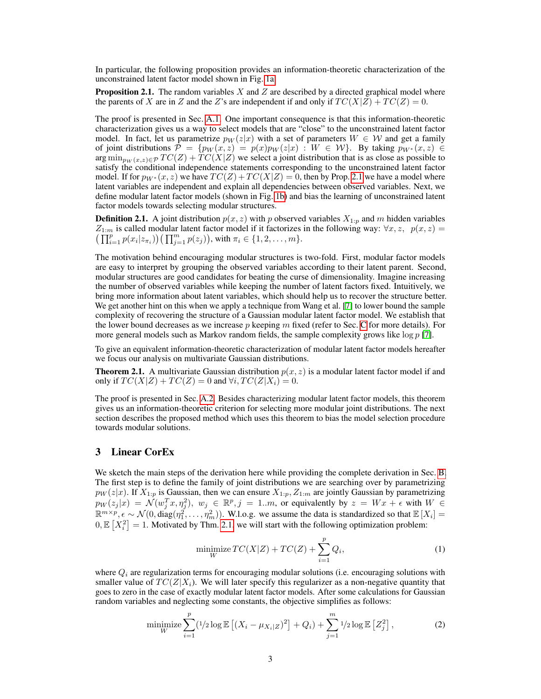In particular, the following proposition provides an information-theoretic characterization of the unconstrained latent factor model shown in Fig. 1a.

Proposition 2.1. The random variables *X* and *Z* are described by a directed graphical model where the parents of *X* are in *Z* and the *Z*'s are independent if and only if  $TC(X|Z) + TC(Z) = 0$ .

The proof is presented in Sec.  $\overline{A.1}$  One important consequence is that this information-theoretic characterization gives us a way to select models that are "close" to the unconstrained latent factor model. In fact, let us parametrize  $p_W(z|x)$  with a set of parameters  $W \in \mathcal{W}$  and get a family of joint distributions  $\mathcal{P} = \{p_W(x, z) = p(x)p_W(z|x) : W \in \mathcal{W}\}\$ . By taking  $p_{W^*}(x, z) \in$  $\arg \min_{p_W(x,z) \in \mathcal{P}} TC(Z) + TC(X|Z)$  we select a joint distribution that is as close as possible to satisfy the conditional independence statements corresponding to the unconstrained latent factor model. If for  $p_{W^*}(x, z)$  we have  $TC(Z) + TC(X|Z) = 0$ , then by Prop. 2.1 we have a model where latent variables are independent and explain all dependencies between observed variables. Next, we define modular latent factor models (shown in Fig.  $\boxed{1b}$ ) and bias the learning of unconstrained latent factor models towards selecting modular structures.

**Definition 2.1.** A joint distribution  $p(x, z)$  with p observed variables  $X_{1:p}$  and m hidden variables  $Z_{1:m}$  is called modular latent factor model if it factorizes in the following way:  $\forall x, z, p(x, z) =$  $\left(\prod_{i=1}^p p(x_i|z_{\pi_i})\right)\left(\prod_{j=1}^m p(z_j)\right)$ , with  $\pi_i \in \{1, 2, ..., m\}$ .

The motivation behind encouraging modular structures is two-fold. First, modular factor models are easy to interpret by grouping the observed variables according to their latent parent. Second, modular structures are good candidates for beating the curse of dimensionality. Imagine increasing the number of observed variables while keeping the number of latent factors fixed. Intuitively, we bring more information about latent variables, which should help us to recover the structure better. We get another hint on this when we apply a technique from Wang et al. [7] to lower bound the sample complexity of recovering the structure of a Gaussian modular latent factor model. We establish that the lower bound decreases as we increase p keeping m fixed (refer to Sec.  $\overline{C}$  for more details). For more general models such as Markov random fields, the sample complexity grows like log *p* [7].

To give an equivalent information-theoretic characterization of modular latent factor models hereafter we focus our analysis on multivariate Gaussian distributions.

Theorem 2.1. A multivariate Gaussian distribution *p*(*x, z*) is a modular latent factor model if and only if  $TC(X|Z) + TC(Z) = 0$  and  $\forall i, TC(Z|X_i) = 0$ .

The proof is presented in Sec.  $[A.2]$  Besides characterizing modular latent factor models, this theorem gives us an information-theoretic criterion for selecting more modular joint distributions. The next section describes the proposed method which uses this theorem to bias the model selection procedure towards modular solutions.

# 3 Linear CorEx

We sketch the main steps of the derivation here while providing the complete derivation in Sec.  $\overline{B}$ The first step is to define the family of joint distributions we are searching over by parametrizing  $p_W(z|x)$ . If  $X_{1:p}$  is Gaussian, then we can ensure  $X_{1:p}, Z_{1:m}$  are jointly Gaussian by parametrizing  $p_W(z_j|x) = \mathcal{N}(w_j^T x, \eta_j^2), w_j \in \mathbb{R}^p, j = 1..m$ , or equivalently by  $z = Wx + \epsilon$  with  $W \in$  $\mathbb{R}^{m \times p}, \epsilon \sim \mathcal{N}(0, \text{diag}(\eta_1^2, \dots, \eta_m^2))$ . W.l.o.g. we assume the data is standardized so that  $\mathbb{E}[X_i] =$  $0, \mathbb{E}\left[X_i^2\right] = 1.$  Motivated by Thm.  $\boxed{2.1}$  we will start with the following optimization problem:

$$
\underset{W}{\text{minimize}} \, TC(X|Z) + TC(Z) + \sum_{i=1}^{p} Q_i,\tag{1}
$$

where  $Q_i$  are regularization terms for encouraging modular solutions (i.e. encouraging solutions with smaller value of  $TC(Z|X_i)$ . We will later specify this regularizer as a non-negative quantity that goes to zero in the case of exactly modular latent factor models. After some calculations for Gaussian random variables and neglecting some constants, the objective simplifies as follows:

minimize 
$$
\sum_{i=1}^{p} (1/2 \log \mathbb{E} [(X_i - \mu_{X_i|Z})^2] + Q_i) + \sum_{j=1}^{m} 1/2 \log \mathbb{E} [Z_j^2],
$$
 (2)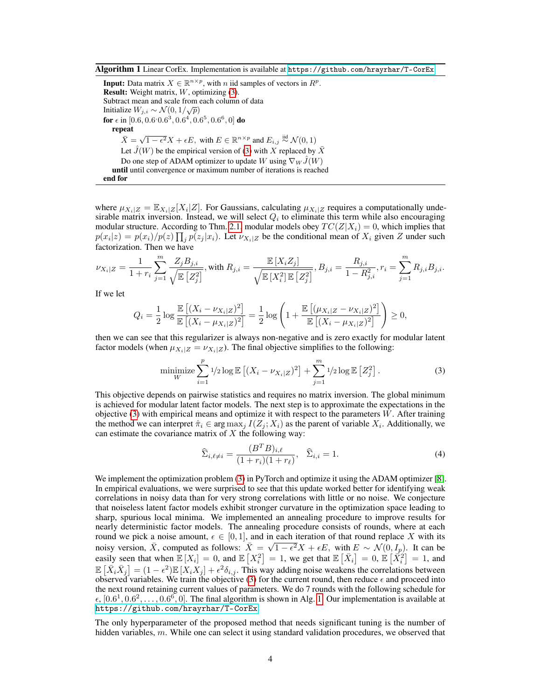Algorithm 1 Linear CorEx. Implementation is available at https://github.com/hrayrhar/T-CorEx

**Input:** Data matrix  $X \in \mathbb{R}^{n \times p}$ , with *n* iid samples of vectors in  $R^p$ . Result: Weight matrix, *W*, optimizing (3). Subtract mean and scale from each column of data Initialize  $W_{j,i} \sim \mathcal{N}(0, 1/\sqrt{p})$ for  $\epsilon$  in  $[0.6, 0.6^\circ0.6^3, 0.6^4, 0.6^5, 0.6^6, 0]$  do repeat  $\overline{X} = \sqrt{1 - \epsilon^2} X + \epsilon E$ , with  $E \in \mathbb{R}^{n \times p}$  and  $E_{i,j} \stackrel{\text{iid}}{\sim} \mathcal{N}(0, 1)$ Let  $\hat{J}(W)$  be the empirical version of  $\langle 3 \rangle$  with *X* replaced by  $\bar{X}$ Do one step of ADAM optimizer to update *W* using  $\nabla_W \hat{J}(W)$ until until convergence or maximum number of iterations is reached end for

where  $\mu_{X_i|Z} = \mathbb{E}_{X_i|Z}[X_i|Z]$ . For Gaussians, calculating  $\mu_{X_i|Z}$  requires a computationally undesirable matrix inversion. Instead, we will select  $Q_i$  to eliminate this term while also encouraging modular structure. According to Thm.  $2.1$ , modular models obey  $TC(Z|X_i) = 0$ , which implies that  $p(x_i|z) = p(x_i)/p(z) \prod_j p(z_j|x_i)$ . Let  $\nu_{X_i|Z}$  be the conditional mean of  $X_i$  given Z under such factorization. Then we have

$$
\nu_{X_i|Z} = \frac{1}{1+r_i}\sum_{j=1}^m \frac{Z_jB_{j,i}}{\sqrt{\mathbb{E}\left[Z_j^2\right]}}\text{, with } R_{j,i} = \frac{\mathbb{E}\left[X_iZ_j\right]}{\sqrt{\mathbb{E}\left[X_i^2\right]\mathbb{E}\left[Z_j^2\right]}}\text{, } B_{j,i} = \frac{R_{j,i}}{1-R_{j,i}^2}\text{, } r_i = \sum_{j=1}^m R_{j,i}B_{j,i}.
$$

If we let

$$
Q_i = \frac{1}{2} \log \frac{\mathbb{E}[(X_i - \nu_{X_i|Z})^2]}{\mathbb{E}[(X_i - \mu_{X_i|Z})^2]} = \frac{1}{2} \log \left(1 + \frac{\mathbb{E}[(\mu_{X_i|Z} - \nu_{X_i|Z})^2]}{\mathbb{E}[(X_i - \mu_{X_i|Z})^2]}\right) \ge 0,
$$

then we can see that this regularizer is always non-negative and is zero exactly for modular latent factor models (when  $\mu_{X_i|Z} = \nu_{X_i|Z}$ ). The final objective simplifies to the following:

minimize 
$$
\sum_{i=1}^{p} 1/2 \log \mathbb{E} \left[ (X_i - \nu_{X_i|Z})^2 \right] + \sum_{j=1}^{m} 1/2 \log \mathbb{E} \left[ Z_j^2 \right].
$$
 (3)

This objective depends on pairwise statistics and requires no matrix inversion. The global minimum is achieved for modular latent factor models. The next step is to approximate the expectations in the objective (3) with empirical means and optimize it with respect to the parameters *W*. After training the method we can interpret  $\hat{\pi}_i \in \arg \max_j I(Z_j; X_i)$  as the parent of variable  $X_i$ . Additionally, we can estimate the covariance matrix of *X* the following way:

$$
\widehat{\Sigma}_{i,\ell \neq i} = \frac{(B^T B)_{i,\ell}}{(1 + r_i)(1 + r_\ell)}, \quad \widehat{\Sigma}_{i,i} = 1.
$$
\n(4)

We implement the optimization problem  $\binom{3}{3}$  in PyTorch and optimize it using the ADAM optimizer  $\binom{8}{3}$ . In empirical evaluations, we were surprised to see that this update worked better for identifying weak correlations in noisy data than for very strong correlations with little or no noise. We conjecture that noiseless latent factor models exhibit stronger curvature in the optimization space leading to sharp, spurious local minima. We implemented an annealing procedure to improve results for nearly deterministic factor models. The annealing procedure consists of rounds, where at each round we pick a noise amount,  $\epsilon \in [0, 1]$ , and in each iteration of that round replace X with its noisy version,  $\bar{X}$ , computed as follows:  $\bar{X} = \sqrt{1 - \epsilon^2} X + \epsilon E$ , with  $E \sim \mathcal{N}(0, I_p)$ . It can be easily seen that when  $\mathbb{E}[X_i] = 0$ , and  $\mathbb{E}[X_i^2] = 1$ , we get that  $\mathbb{E}[\bar{X}_i] = 0$ ,  $\mathbb{E}[\bar{X}_i^2] = 1$ , and  $\mathbb{E}\left[\bar{X}_i \bar{X}_j\right] = (1 - \epsilon^2)\mathbb{E}\left[X_i X_j\right] + \epsilon^2 \delta_{i,j}$ . This way adding noise weakens the correlations between observed variables. We train the objective  $\binom{3}{3}$  for the current round, then reduce  $\epsilon$  and proceed into the next round retaining current values of parameters. We do 7 rounds with the following schedule for  $\epsilon$ ,  $[0.6^1, 0.6^2, \ldots, 0.6^6, 0]$ . The final algorithm is shown in Alg. 1. Our implementation is available at https://github.com/hrayrhar/T-CorEx.

The only hyperparameter of the proposed method that needs significant tuning is the number of hidden variables, *m*. While one can select it using standard validation procedures, we observed that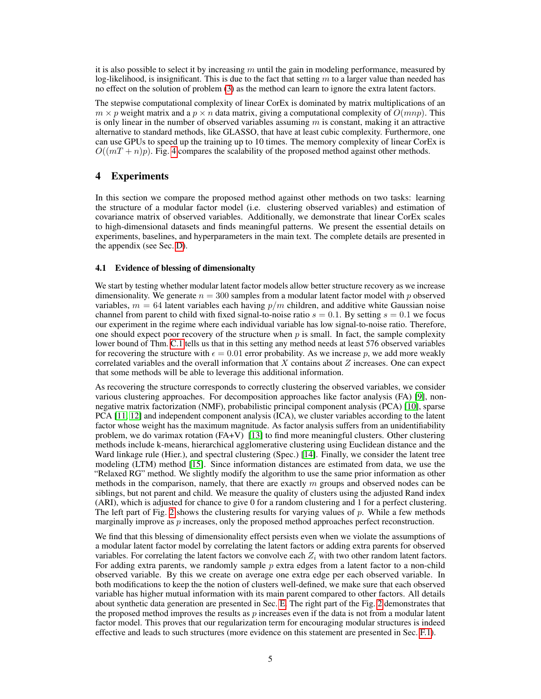it is also possible to select it by increasing *m* until the gain in modeling performance, measured by log-likelihood, is insignificant. This is due to the fact that setting *m* to a larger value than needed has no effect on the solution of problem  $\overline{3}$  as the method can learn to ignore the extra latent factors.

The stepwise computational complexity of linear CorEx is dominated by matrix multiplications of an  $m \times p$  weight matrix and a  $p \times n$  data matrix, giving a computational complexity of  $O(mnp)$ . This is only linear in the number of observed variables assuming *m* is constant, making it an attractive alternative to standard methods, like GLASSO, that have at least cubic complexity. Furthermore, one can use GPUs to speed up the training up to 10 times. The memory complexity of linear CorEx is  $O((mT + n)p)$ . Fig.  $4$  compares the scalability of the proposed method against other methods.

## 4 Experiments

In this section we compare the proposed method against other methods on two tasks: learning the structure of a modular factor model (i.e. clustering observed variables) and estimation of covariance matrix of observed variables. Additionally, we demonstrate that linear CorEx scales to high-dimensional datasets and finds meaningful patterns. We present the essential details on experiments, baselines, and hyperparameters in the main text. The complete details are presented in the appendix (see Sec.  $\boxed{D}$ ).

#### 4.1 Evidence of blessing of dimensionalty

We start by testing whether modular latent factor models allow better structure recovery as we increase dimensionality. We generate  $n = 300$  samples from a modular latent factor model with p observed variables,  $m = 64$  latent variables each having  $p/m$  children, and additive white Gaussian noise channel from parent to child with fixed signal-to-noise ratio  $s = 0.1$ . By setting  $s = 0.1$  we focus our experiment in the regime where each individual variable has low signal-to-noise ratio. Therefore, one should expect poor recovery of the structure when  $p$  is small. In fact, the sample complexity lower bound of Thm.  $\overline{C.1}$  tells us that in this setting any method needs at least 576 observed variables for recovering the structure with  $\epsilon = 0.01$  error probability. As we increase p, we add more weakly correlated variables and the overall information that *X* contains about *Z* increases. One can expect that some methods will be able to leverage this additional information.

As recovering the structure corresponds to correctly clustering the observed variables, we consider various clustering approaches. For decomposition approaches like factor analysis  $(FA)$  [9], nonnegative matrix factorization (NMF), probabilistic principal component analysis (PCA) [10], sparse PCA  $\boxed{11}$ ,  $\boxed{12}$  and independent component analysis (ICA), we cluster variables according to the latent factor whose weight has the maximum magnitude. As factor analysis suffers from an unidentifiability problem, we do varimax rotation (FA+V)  $\boxed{13}$  to find more meaningful clusters. Other clustering methods include k-means, hierarchical agglomerative clustering using Euclidean distance and the Ward linkage rule (Hier.), and spectral clustering (Spec.)  $[14]$ . Finally, we consider the latent tree modeling (LTM) method  $[15]$ . Since information distances are estimated from data, we use the "Relaxed RG" method. We slightly modify the algorithm to use the same prior information as other methods in the comparison, namely, that there are exactly *m* groups and observed nodes can be siblings, but not parent and child. We measure the quality of clusters using the adjusted Rand index (ARI), which is adjusted for chance to give 0 for a random clustering and 1 for a perfect clustering. The left part of Fig.  $2$  shows the clustering results for varying values of p. While a few methods marginally improve as *p* increases, only the proposed method approaches perfect reconstruction.

We find that this blessing of dimensionality effect persists even when we violate the assumptions of a modular latent factor model by correlating the latent factors or adding extra parents for observed variables. For correlating the latent factors we convolve each  $Z_i$  with two other random latent factors. For adding extra parents, we randomly sample *p* extra edges from a latent factor to a non-child observed variable. By this we create on average one extra edge per each observed variable. In both modifications to keep the the notion of clusters well-defined, we make sure that each observed variable has higher mutual information with its main parent compared to other factors. All details about synthetic data generation are presented in Sec.  $\boxed{E}$ . The right part of the Fig. 2 demonstrates that the proposed method improves the results as *p* increases even if the data is not from a modular latent factor model. This proves that our regularization term for encouraging modular structures is indeed effective and leads to such structures (more evidence on this statement are presented in Sec.  $\overline{F}$ .  $\overline{I}$ ).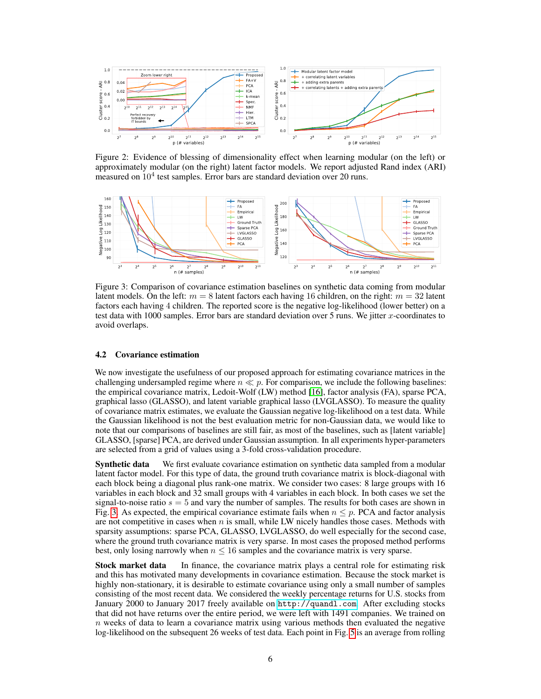

Figure 2: Evidence of blessing of dimensionality effect when learning modular (on the left) or approximately modular (on the right) latent factor models. We report adjusted Rand index (ARI) measured on  $10<sup>4</sup>$  test samples. Error bars are standard deviation over 20 runs.



Figure 3: Comparison of covariance estimation baselines on synthetic data coming from modular latent models. On the left:  $m = 8$  latent factors each having 16 children, on the right:  $m = 32$  latent factors each having 4 children. The reported score is the negative log-likelihood (lower better) on a test data with 1000 samples. Error bars are standard deviation over 5 runs. We jitter *x*-coordinates to avoid overlaps.

### 4.2 Covariance estimation

We now investigate the usefulness of our proposed approach for estimating covariance matrices in the challenging undersampled regime where  $n \ll p$ . For comparison, we include the following baselines: the empirical covariance matrix, Ledoit-Wolf (LW) method [16], factor analysis (FA), sparse PCA, graphical lasso (GLASSO), and latent variable graphical lasso (LVGLASSO). To measure the quality of covariance matrix estimates, we evaluate the Gaussian negative log-likelihood on a test data. While the Gaussian likelihood is not the best evaluation metric for non-Gaussian data, we would like to note that our comparisons of baselines are still fair, as most of the baselines, such as [latent variable] GLASSO, [sparse] PCA, are derived under Gaussian assumption. In all experiments hyper-parameters are selected from a grid of values using a 3-fold cross-validation procedure.

**Synthetic data** We first evaluate covariance estimation on synthetic data sampled from a modular latent factor model. For this type of data, the ground truth covariance matrix is block-diagonal with each block being a diagonal plus rank-one matrix. We consider two cases: 8 large groups with 16 variables in each block and 32 small groups with 4 variables in each block. In both cases we set the signal-to-noise ratio  $s = 5$  and vary the number of samples. The results for both cases are shown in Fig. 3. As expected, the empirical covariance estimate fails when  $n \leq p$ . PCA and factor analysis are not competitive in cases when  $n$  is small, while LW nicely handles those cases. Methods with sparsity assumptions: sparse PCA, GLASSO, LVGLASSO, do well especially for the second case, where the ground truth covariance matrix is very sparse. In most cases the proposed method performs best, only losing narrowly when  $n \leq 16$  samples and the covariance matrix is very sparse.

Stock market data In finance, the covariance matrix plays a central role for estimating risk and this has motivated many developments in covariance estimation. Because the stock market is highly non-stationary, it is desirable to estimate covariance using only a small number of samples consisting of the most recent data. We considered the weekly percentage returns for U.S. stocks from January 2000 to January 2017 freely available on http://quandl.com. After excluding stocks that did not have returns over the entire period, we were left with 1491 companies. We trained on *n* weeks of data to learn a covariance matrix using various methods then evaluated the negative log-likelihood on the subsequent 26 weeks of test data. Each point in Fig. <sup>5</sup> is an average from rolling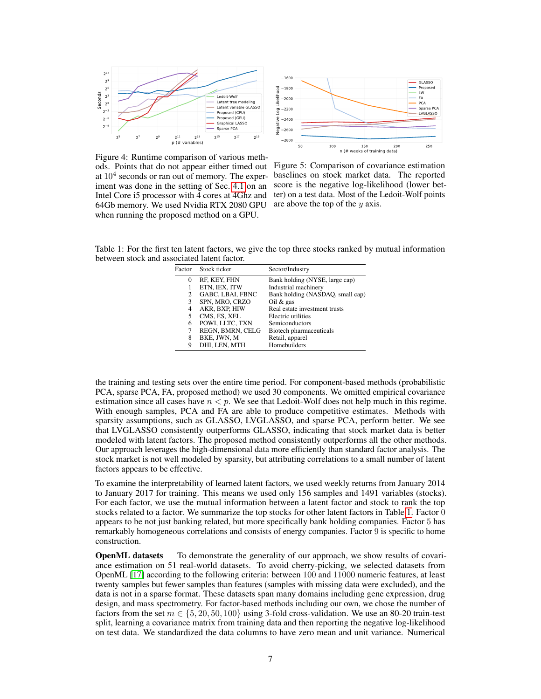

 $-1600$ GLASSO  $-1800$ Proposed Likelihood Prop<br>LW<br>FA<br>PCA  $-2000$ Sparse PCA  $\frac{1}{2}$  $-2200$ LVGLASSO  $-2400$ စ္ပြဲ<br>မွ –2600  $-2800$  $\frac{150}{n}$  (# weeks of training data) 250 50 100

Figure 4: Runtime comparison of various methods. Points that do not appear either timed out at  $10<sup>4</sup>$  seconds or ran out of memory. The experiment was done in the setting of Sec.  $\overline{4.1}$  on an Intel Core i5 processor with 4 cores at 4Ghz and 64Gb memory. We used Nvidia RTX 2080 GPU when running the proposed method on a GPU.

Figure 5: Comparison of covariance estimation baselines on stock market data. The reported score is the negative log-likelihood (lower better) on a test data. Most of the Ledoit-Wolf points are above the top of the *y* axis.

Table 1: For the first ten latent factors, we give the top three stocks ranked by mutual information between stock and associated latent factor.

|   | Factor Stock ticker | Sector/Industry                  |
|---|---------------------|----------------------------------|
| 0 | RF, KEY, FHN        | Bank holding (NYSE, large cap)   |
|   | ETN, IEX, ITW       | Industrial machinery             |
| 2 | GABC, LBAI, FBNC    | Bank holding (NASDAO, small cap) |
| 3 | SPN, MRO, CRZO      | Oil $\&$ gas                     |
| 4 | AKR. BXP. HIW       | Real estate investment trusts    |
| 5 | CMS, ES, XEL        | Electric utilities               |
| 6 | POWI, LLTC, TXN     | Semiconductors                   |
| 7 | REGN, BMRN, CELG    | Biotech pharmaceuticals          |
| 8 | BKE, JWN, M         | Retail, apparel                  |
| 9 | DHI, LEN, MTH       | Homebuilders                     |
|   |                     |                                  |

the training and testing sets over the entire time period. For component-based methods (probabilistic PCA, sparse PCA, FA, proposed method) we used 30 components. We omitted empirical covariance estimation since all cases have  $n < p$ . We see that Ledoit-Wolf does not help much in this regime. With enough samples, PCA and FA are able to produce competitive estimates. Methods with sparsity assumptions, such as GLASSO, LVGLASSO, and sparse PCA, perform better. We see that LVGLASSO consistently outperforms GLASSO, indicating that stock market data is better modeled with latent factors. The proposed method consistently outperforms all the other methods. Our approach leverages the high-dimensional data more efficiently than standard factor analysis. The stock market is not well modeled by sparsity, but attributing correlations to a small number of latent factors appears to be effective.

To examine the interpretability of learned latent factors, we used weekly returns from January 2014 to January 2017 for training. This means we used only 156 samples and 1491 variables (stocks). For each factor, we use the mutual information between a latent factor and stock to rank the top stocks related to a factor. We summarize the top stocks for other latent factors in Table  $\vert 1 \vert$ . Factor 0. appears to be not just banking related, but more specifically bank holding companies. Factor 5 has remarkably homogeneous correlations and consists of energy companies. Factor 9 is specific to home construction.

**OpenML datasets** To demonstrate the generality of our approach, we show results of covariance estimation on 51 real-world datasets. To avoid cherry-picking, we selected datasets from OpenML [17] according to the following criteria: between 100 and 11000 numeric features, at least twenty samples but fewer samples than features (samples with missing data were excluded), and the data is not in a sparse format. These datasets span many domains including gene expression, drug design, and mass spectrometry. For factor-based methods including our own, we chose the number of factors from the set  $m \in \{5, 20, 50, 100\}$  using 3-fold cross-validation. We use an 80-20 train-test split, learning a covariance matrix from training data and then reporting the negative log-likelihood on test data. We standardized the data columns to have zero mean and unit variance. Numerical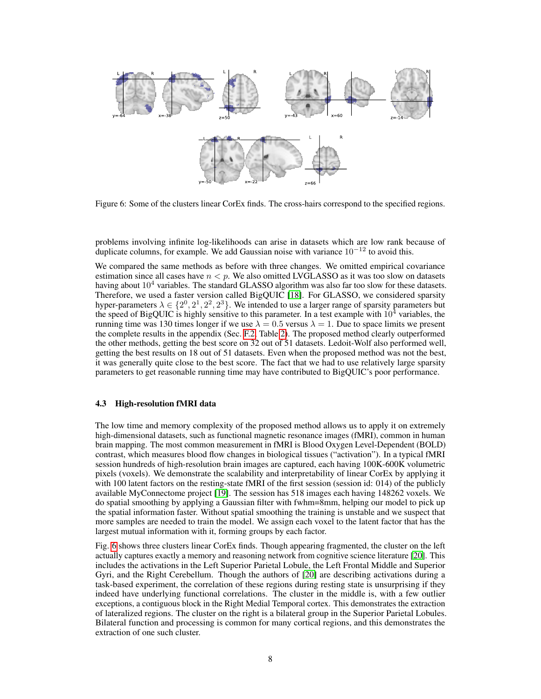

Figure 6: Some of the clusters linear CorEx finds. The cross-hairs correspond to the specified regions.

problems involving infinite log-likelihoods can arise in datasets which are low rank because of duplicate columns, for example. We add Gaussian noise with variance  $10^{-12}$  to avoid this.

We compared the same methods as before with three changes. We omitted empirical covariance estimation since all cases have  $n < p$ . We also omitted LVGLASSO as it was too slow on datasets having about  $10<sup>4</sup>$  variables. The standard GLASSO algorithm was also far too slow for these datasets. Therefore, we used a faster version called BigQUIC [18]. For GLASSO, we considered sparsity hyper-parameters  $\lambda \in \{2^0, 2^1, 2^2, 2^3\}$ . We intended to use a larger range of sparsity parameters but the speed of BigQUIC is highly sensitive to this parameter. In a test example with  $10^4$  variables, the running time was 130 times longer if we use  $\lambda = 0.5$  versus  $\lambda = 1$ . Due to space limits we present the complete results in the appendix (Sec.  $\overline{F2}$ ). The proposed method clearly outperformed the other methods, getting the best score on  $\overline{32}$  out of  $\overline{51}$  datasets. Ledoit-Wolf also performed well, getting the best results on 18 out of 51 datasets. Even when the proposed method was not the best, it was generally quite close to the best score. The fact that we had to use relatively large sparsity parameters to get reasonable running time may have contributed to BigQUIC's poor performance.

#### 4.3 High-resolution fMRI data

The low time and memory complexity of the proposed method allows us to apply it on extremely high-dimensional datasets, such as functional magnetic resonance images (fMRI), common in human brain mapping. The most common measurement in fMRI is Blood Oxygen Level-Dependent (BOLD) contrast, which measures blood flow changes in biological tissues ("activation"). In a typical fMRI session hundreds of high-resolution brain images are captured, each having 100K-600K volumetric pixels (voxels). We demonstrate the scalability and interpretability of linear CorEx by applying it with 100 latent factors on the resting-state fMRI of the first session (session id: 014) of the publicly available MyConnectome project [19]. The session has 518 images each having 148262 voxels. We do spatial smoothing by applying a Gaussian filter with fwhm=8mm, helping our model to pick up the spatial information faster. Without spatial smoothing the training is unstable and we suspect that more samples are needed to train the model. We assign each voxel to the latent factor that has the largest mutual information with it, forming groups by each factor.

Fig. 6 shows three clusters linear CorEx finds. Though appearing fragmented, the cluster on the left actually captures exactly a memory and reasoning network from cognitive science literature [20]. This includes the activations in the Left Superior Parietal Lobule, the Left Frontal Middle and Superior Gyri, and the Right Cerebellum. Though the authors of  $[20]$  are describing activations during a task-based experiment, the correlation of these regions during resting state is unsurprising if they indeed have underlying functional correlations. The cluster in the middle is, with a few outlier exceptions, a contiguous block in the Right Medial Temporal cortex. This demonstrates the extraction of lateralized regions. The cluster on the right is a bilateral group in the Superior Parietal Lobules. Bilateral function and processing is common for many cortical regions, and this demonstrates the extraction of one such cluster.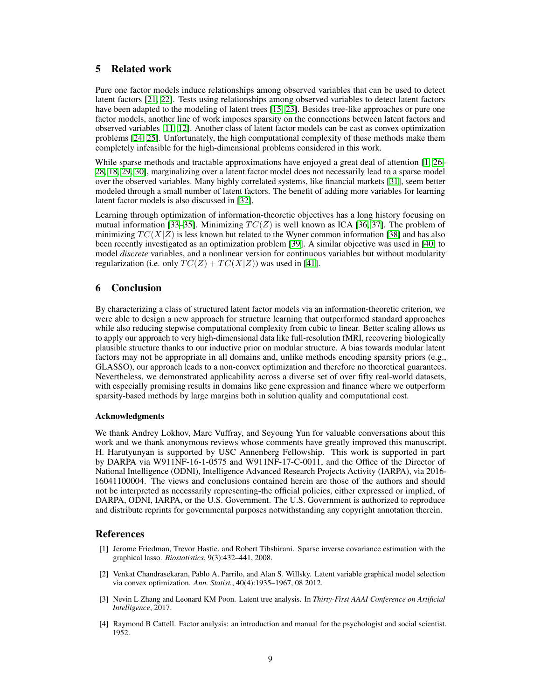# 5 Related work

Pure one factor models induce relationships among observed variables that can be used to detect latent factors  $\boxed{21}$ ,  $\boxed{22}$ . Tests using relationships among observed variables to detect latent factors have been adapted to the modeling of latent trees  $\sqrt{15/23}$ . Besides tree-like approaches or pure one factor models, another line of work imposes sparsity on the connections between latent factors and observed variables  $\left[\prod_{i=1}^{n} \prod_{i=1}^{n} \sum_{j=1}^{n} A_{i} \right]$  Another class of latent factor models can be cast as convex optimization problems  $[24, 25]$ . Unfortunately, the high computational complexity of these methods make them completely infeasible for the high-dimensional problems considered in this work.

While sparse methods and tractable approximations have enjoyed a great deal of attention  $\sqrt{1/26}$ 28, 18, 29, 30, marginalizing over a latent factor model does not necessarily lead to a sparse model over the observed variables. Many highly correlated systems, like financial markets [31], seem better modeled through a small number of latent factors. The benefit of adding more variables for learning latent factor models is also discussed in [32].

Learning through optimization of information-theoretic objectives has a long history focusing on mutual information  $\boxed{33}$ – $\boxed{35}$ . Minimizing  $TC(Z)$  is well known as ICA  $\boxed{36}$ ,  $\boxed{37}$ . The problem of minimizing  $TC(X|Z)$  is less known but related to the Wyner common information [38] and has also been recently investigated as an optimization problem [39]. A similar objective was used in [40] to model *discrete* variables, and a nonlinear version for continuous variables but without modularity regularization (i.e. only  $TC(Z) + TC(X|Z)$ ) was used in [41].

# 6 Conclusion

By characterizing a class of structured latent factor models via an information-theoretic criterion, we were able to design a new approach for structure learning that outperformed standard approaches while also reducing stepwise computational complexity from cubic to linear. Better scaling allows us to apply our approach to very high-dimensional data like full-resolution fMRI, recovering biologically plausible structure thanks to our inductive prior on modular structure. A bias towards modular latent factors may not be appropriate in all domains and, unlike methods encoding sparsity priors (e.g., GLASSO), our approach leads to a non-convex optimization and therefore no theoretical guarantees. Nevertheless, we demonstrated applicability across a diverse set of over fifty real-world datasets, with especially promising results in domains like gene expression and finance where we outperform sparsity-based methods by large margins both in solution quality and computational cost.

#### Acknowledgments

We thank Andrey Lokhov, Marc Vuffray, and Seyoung Yun for valuable conversations about this work and we thank anonymous reviews whose comments have greatly improved this manuscript. H. Harutyunyan is supported by USC Annenberg Fellowship. This work is supported in part by DARPA via W911NF-16-1-0575 and W911NF-17-C-0011, and the Office of the Director of National Intelligence (ODNI), Intelligence Advanced Research Projects Activity (IARPA), via 2016- 16041100004. The views and conclusions contained herein are those of the authors and should not be interpreted as necessarily representing-the official policies, either expressed or implied, of DARPA, ODNI, IARPA, or the U.S. Government. The U.S. Government is authorized to reproduce and distribute reprints for governmental purposes notwithstanding any copyright annotation therein.

## References

- [1] Jerome Friedman, Trevor Hastie, and Robert Tibshirani. Sparse inverse covariance estimation with the graphical lasso. *Biostatistics*, 9(3):432–441, 2008.
- [2] Venkat Chandrasekaran, Pablo A. Parrilo, and Alan S. Willsky. Latent variable graphical model selection via convex optimization. *Ann. Statist.*, 40(4):1935–1967, 08 2012.
- [3] Nevin L Zhang and Leonard KM Poon. Latent tree analysis. In *Thirty-First AAAI Conference on Artificial Intelligence*, 2017.
- [4] Raymond B Cattell. Factor analysis: an introduction and manual for the psychologist and social scientist. 1952.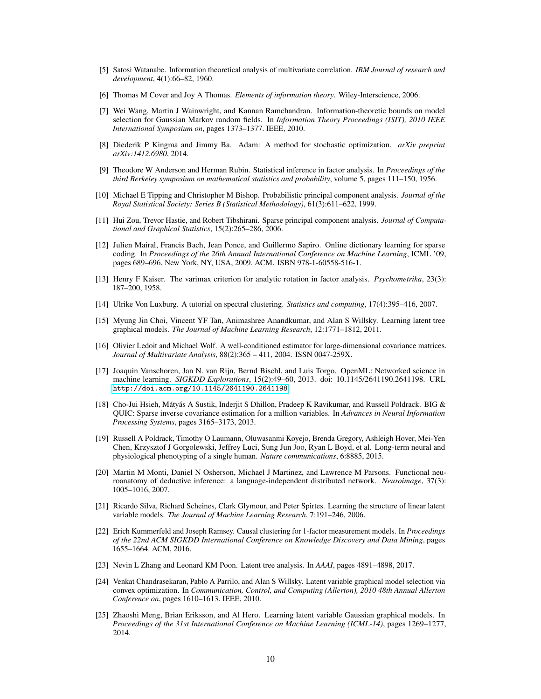- [5] Satosi Watanabe. Information theoretical analysis of multivariate correlation. *IBM Journal of research and development*, 4(1):66–82, 1960.
- [6] Thomas M Cover and Joy A Thomas. *Elements of information theory*. Wiley-Interscience, 2006.
- [7] Wei Wang, Martin J Wainwright, and Kannan Ramchandran. Information-theoretic bounds on model selection for Gaussian Markov random fields. In *Information Theory Proceedings (ISIT), 2010 IEEE International Symposium on*, pages 1373–1377. IEEE, 2010.
- [8] Diederik P Kingma and Jimmy Ba. Adam: A method for stochastic optimization. *arXiv preprint arXiv:1412.6980*, 2014.
- [9] Theodore W Anderson and Herman Rubin. Statistical inference in factor analysis. In *Proceedings of the third Berkeley symposium on mathematical statistics and probability*, volume 5, pages 111–150, 1956.
- [10] Michael E Tipping and Christopher M Bishop. Probabilistic principal component analysis. *Journal of the Royal Statistical Society: Series B (Statistical Methodology)*, 61(3):611–622, 1999.
- [11] Hui Zou, Trevor Hastie, and Robert Tibshirani. Sparse principal component analysis. *Journal of Computational and Graphical Statistics*, 15(2):265–286, 2006.
- [12] Julien Mairal, Francis Bach, Jean Ponce, and Guillermo Sapiro. Online dictionary learning for sparse coding. In *Proceedings of the 26th Annual International Conference on Machine Learning*, ICML '09, pages 689–696, New York, NY, USA, 2009. ACM. ISBN 978-1-60558-516-1.
- [13] Henry F Kaiser. The varimax criterion for analytic rotation in factor analysis. *Psychometrika*, 23(3): 187–200, 1958.
- [14] Ulrike Von Luxburg. A tutorial on spectral clustering. *Statistics and computing*, 17(4):395–416, 2007.
- [15] Myung Jin Choi, Vincent YF Tan, Animashree Anandkumar, and Alan S Willsky. Learning latent tree graphical models. *The Journal of Machine Learning Research*, 12:1771–1812, 2011.
- [16] Olivier Ledoit and Michael Wolf. A well-conditioned estimator for large-dimensional covariance matrices. *Journal of Multivariate Analysis*, 88(2):365 – 411, 2004. ISSN 0047-259X.
- [17] Joaquin Vanschoren, Jan N. van Rijn, Bernd Bischl, and Luis Torgo. OpenML: Networked science in machine learning. *SIGKDD Explorations*, 15(2):49–60, 2013. doi: 10.1145/2641190.2641198. URL http://doi.acm.org/10.1145/2641190.2641198.
- [18] Cho-Jui Hsieh, Mátyás A Sustik, Inderjit S Dhillon, Pradeep K Ravikumar, and Russell Poldrack. BIG & QUIC: Sparse inverse covariance estimation for a million variables. In *Advances in Neural Information Processing Systems*, pages 3165–3173, 2013.
- [19] Russell A Poldrack, Timothy O Laumann, Oluwasanmi Koyejo, Brenda Gregory, Ashleigh Hover, Mei-Yen Chen, Krzysztof J Gorgolewski, Jeffrey Luci, Sung Jun Joo, Ryan L Boyd, et al. Long-term neural and physiological phenotyping of a single human. *Nature communications*, 6:8885, 2015.
- [20] Martin M Monti, Daniel N Osherson, Michael J Martinez, and Lawrence M Parsons. Functional neuroanatomy of deductive inference: a language-independent distributed network. *Neuroimage*, 37(3): 1005–1016, 2007.
- [21] Ricardo Silva, Richard Scheines, Clark Glymour, and Peter Spirtes. Learning the structure of linear latent variable models. *The Journal of Machine Learning Research*, 7:191–246, 2006.
- [22] Erich Kummerfeld and Joseph Ramsey. Causal clustering for 1-factor measurement models. In *Proceedings of the 22nd ACM SIGKDD International Conference on Knowledge Discovery and Data Mining*, pages 1655–1664. ACM, 2016.
- [23] Nevin L Zhang and Leonard KM Poon. Latent tree analysis. In *AAAI*, pages 4891–4898, 2017.
- [24] Venkat Chandrasekaran, Pablo A Parrilo, and Alan S Willsky. Latent variable graphical model selection via convex optimization. In *Communication, Control, and Computing (Allerton), 2010 48th Annual Allerton Conference on*, pages 1610–1613. IEEE, 2010.
- [25] Zhaoshi Meng, Brian Eriksson, and Al Hero. Learning latent variable Gaussian graphical models. In *Proceedings of the 31st International Conference on Machine Learning (ICML-14)*, pages 1269–1277, 2014.